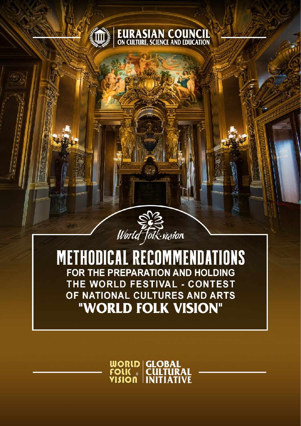



**METHODICAL RECOMMENDATIONS** FOR THE PREPARATION AND HOLDING THE WORLD FESTIVAL - CONTEST OF NATIONAL CULTURES AND ARTS "WORLD FOLK VISION"

**WORLD GLOBAL<br>FOLK © CULTURAL<br>VISION INITIATIVE**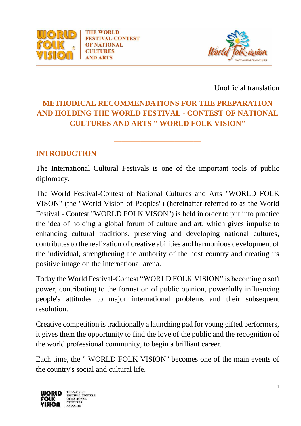

**THE WORLD FESTIVAL-CONTEST OF NATIONAL CULTURES AND ARTS** 



Unofficial translation

# **METHODICAL RECOMMENDATIONS FOR THE PREPARATION AND HOLDING THE WORLD FESTIVAL - CONTEST OF NATIONAL CULTURES AND ARTS " WORLD FOLK VISION"**

**\_\_\_\_\_\_\_\_\_\_\_\_\_\_\_\_\_\_\_\_\_\_\_**

#### **INTRODUCTION**

The International Cultural Festivals is one of the important tools of public diplomacy.

The World Festival-Contest of National Cultures and Arts "WORLD FOLK VISON" (the "World Vision of Peoples") (hereinafter referred to as the World Festival - Contest "WORLD FOLK VISON") is held in order to put into practice the idea of holding a global forum of culture and art, which gives impulse to enhancing cultural traditions, preserving and developing national cultures, contributes to the realization of creative abilities and harmonious development of the individual, strengthening the authority of the host country and creating its positive image on the international arena.

Today the World Festival-Contest "WORLD FOLK VISION" is becoming a soft power, contributing to the formation of public opinion, powerfully influencing people's attitudes to major international problems and their subsequent resolution.

Creative competition is traditionally a launching pad for young gifted performers, it gives them the opportunity to find the love of the public and the recognition of the world professional community, to begin a brilliant career.

Each time, the " WORLD FOLK VISION" becomes one of the main events of the country's social and cultural life.

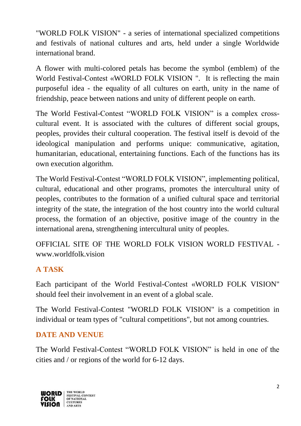"WORLD FOLK VISION" - a series of international specialized competitions and festivals of national cultures and arts, held under a single Worldwide international brand.

A flower with multi-colored petals has become the symbol (emblem) of the World Festival-Contest «WORLD FOLK VISION ". It is reflecting the main purposeful idea - the equality of all cultures on earth, unity in the name of friendship, peace between nations and unity of different people on earth.

The World Festival-Contest "WORLD FOLK VISION" is a complex crosscultural event. It is associated with the cultures of different social groups, peoples, provides their cultural cooperation. The festival itself is devoid of the ideological manipulation and performs unique: communicative, agitation, humanitarian, educational, entertaining functions. Each of the functions has its own execution algorithm.

The World Festival-Contest "WORLD FOLK VISION", implementing political, cultural, educational and other programs, promotes the intercultural unity of peoples, contributes to the formation of a unified cultural space and territorial integrity of the state, the integration of the host country into the world cultural process, the formation of an objective, positive image of the country in the international arena, strengthening intercultural unity of peoples.

OFFICIAL SITE OF THE WORLD FOLK VISION WORLD FESTIVAL <www.worldfolk.vision>.

# **A TASK**

Each participant of the World Festival-Contest «WORLD FOLK VISION" should feel their involvement in an event of a global scale.

The World Festival-Contest "WORLD FOLK VISION" is a competition in individual or team types of "cultural competitions", but not among countries.

#### **DATE AND VENUE**

The World Festival-Contest "WORLD FOLK VISION" is held in one of the cities and / or regions of the world for 6-12 days.

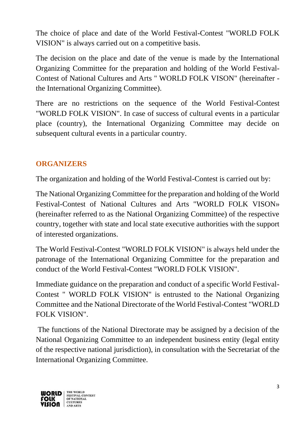The choice of place and date of the World Festival-Contest "WORLD FOLK VISION" is always carried out on a competitive basis.

The decision on the place and date of the venue is made by the International Organizing Committee for the preparation and holding of the World Festival-Contest of National Cultures and Arts " WORLD FOLK VISON" (hereinafter the International Organizing Committee).

There are no restrictions on the sequence of the World Festival-Contest "WORLD FOLK VISION". In case of success of cultural events in a particular place (country), the International Organizing Committee may decide on subsequent cultural events in a particular country.

#### **ORGANIZERS**

The organization and holding of the World Festival-Contest is carried out by:

The National Organizing Committee for the preparation and holding of the World Festival-Contest of National Cultures and Arts "WORLD FOLK VISON» (hereinafter referred to as the National Organizing Committee) of the respective country, together with state and local state executive authorities with the support of interested organizations.

The World Festival-Contest "WORLD FOLK VISION" is always held under the patronage of the International Organizing Committee for the preparation and conduct of the World Festival-Contest "WORLD FOLK VISION".

Immediate guidance on the preparation and conduct of a specific World Festival-Contest " WORLD FOLK VISION" is entrusted to the National Organizing Committee and the National Directorate of the World Festival-Contest "WORLD FOLK VISION".

The functions of the National Directorate may be assigned by a decision of the National Organizing Committee to an independent business entity (legal entity of the respective national jurisdiction), in consultation with the Secretariat of the International Organizing Committee.

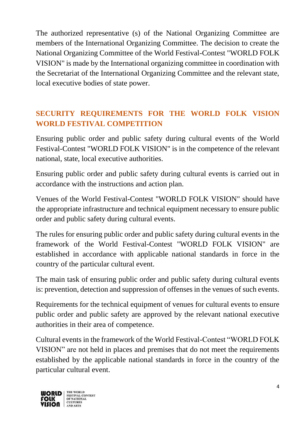The authorized representative (s) of the National Organizing Committee are members of the International Organizing Committee. The decision to create the National Organizing Committee of the World Festival-Contest "WORLD FOLK VISION" is made by the International organizing committee in coordination with the Secretariat of the International Organizing Committee and the relevant state, local executive bodies of state power.

## **SECURITY REQUIREMENTS FOR THE WORLD FOLK VISION WORLD FESTIVAL COMPETITION**

Ensuring public order and public safety during cultural events of the World Festival-Contest "WORLD FOLK VISION" is in the competence of the relevant national, state, local executive authorities.

Ensuring public order and public safety during cultural events is carried out in accordance with the instructions and action plan.

Venues of the World Festival-Contest "WORLD FOLK VISION" should have the appropriate infrastructure and technical equipment necessary to ensure public order and public safety during cultural events.

The rules for ensuring public order and public safety during cultural events in the framework of the World Festival-Contest "WORLD FOLK VISION" are established in accordance with applicable national standards in force in the country of the particular cultural event.

The main task of ensuring public order and public safety during cultural events is: prevention, detection and suppression of offenses in the venues of such events.

Requirements for the technical equipment of venues for cultural events to ensure public order and public safety are approved by the relevant national executive authorities in their area of competence.

Cultural events in the framework of the World Festival-Contest "WORLD FOLK VISION" are not held in places and premises that do not meet the requirements established by the applicable national standards in force in the country of the particular cultural event.

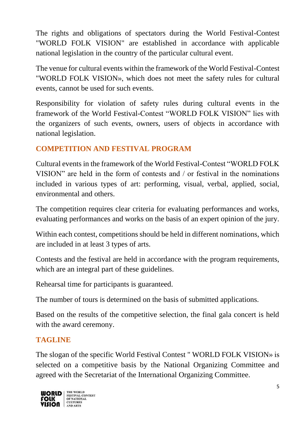The rights and obligations of spectators during the World Festival-Contest "WORLD FOLK VISION" are established in accordance with applicable national legislation in the country of the particular cultural event.

The venue for cultural events within the framework of the World Festival-Contest "WORLD FOLK VISION», which does not meet the safety rules for cultural events, cannot be used for such events.

Responsibility for violation of safety rules during cultural events in the framework of the World Festival-Contest "WORLD FOLK VISION" lies with the organizers of such events, owners, users of objects in accordance with national legislation.

# **COMPETITION AND FESTIVAL PROGRAM**

Cultural events in the framework of the World Festival-Contest "WORLD FOLK VISION" are held in the form of contests and / or festival in the nominations included in various types of art: performing, visual, verbal, applied, social, environmental and others.

The competition requires clear criteria for evaluating performances and works, evaluating performances and works on the basis of an expert opinion of the jury.

Within each contest, competitions should be held in different nominations, which are included in at least 3 types of arts.

Contests and the festival are held in accordance with the program requirements, which are an integral part of these guidelines.

Rehearsal time for participants is guaranteed.

The number of tours is determined on the basis of submitted applications.

Based on the results of the competitive selection, the final gala concert is held with the award ceremony.

### **TAGLINE**

The slogan of the specific World Festival Contest " WORLD FOLK VISION» is selected on a competitive basis by the National Organizing Committee and agreed with the Secretariat of the International Organizing Committee.

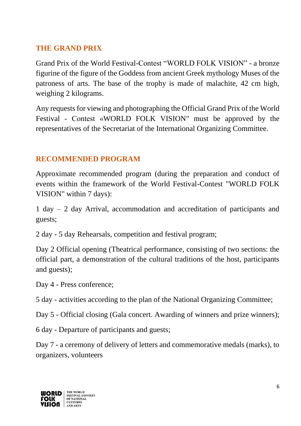#### **THE GRAND PRIX**

Grand Prix of the World Festival-Contest "WORLD FOLK VISION" - a bronze figurine of the figure of the Goddess from ancient Greek mythology Muses of the patroness of arts. The base of the trophy is made of malachite, 42 cm high, weighing 2 kilograms.

Any requests for viewing and photographing the Official Grand Prix of the World Festival - Contest «WORLD FOLK VISION" must be approved by the representatives of the Secretariat of the International Organizing Committee.

#### **RECOMMENDED PROGRAM**

Approximate recommended program (during the preparation and conduct of events within the framework of the World Festival-Contest "WORLD FOLK VISION" within 7 days):

1 day – 2 day Arrival, accommodation and accreditation of participants and guests;

2 day - 5 day Rehearsals, competition and festival program;

Day 2 Official opening (Theatrical performance, consisting of two sections: the official part, a demonstration of the cultural traditions of the host, participants and guests);

Day 4 - Press conference;

5 day - activities according to the plan of the National Organizing Committee;

Day 5 - Official closing (Gala concert. Awarding of winners and prize winners);

6 day - Departure of participants and guests;

Day 7 - a ceremony of delivery of letters and commemorative medals (marks), to organizers, volunteers

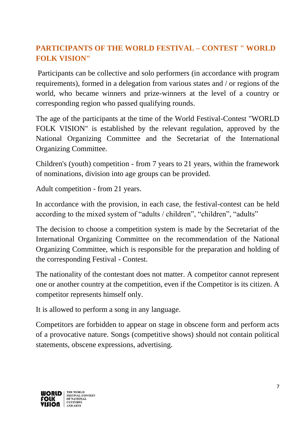# **PARTICIPANTS OF THE WORLD FESTIVAL – CONTEST " WORLD FOLK VISION"**

Participants can be collective and solo performers (in accordance with program requirements), formed in a delegation from various states and / or regions of the world, who became winners and prize-winners at the level of a country or corresponding region who passed qualifying rounds.

The age of the participants at the time of the World Festival-Contest "WORLD FOLK VISION" is established by the relevant regulation, approved by the National Organizing Committee and the Secretariat of the International Organizing Committee.

Children's (youth) competition - from 7 years to 21 years, within the framework of nominations, division into age groups can be provided.

Adult competition - from 21 years.

In accordance with the provision, in each case, the festival-contest can be held according to the mixed system of "adults / children", "children", "adults"

The decision to choose a competition system is made by the Secretariat of the International Organizing Committee on the recommendation of the National Organizing Committee, which is responsible for the preparation and holding of the corresponding Festival - Contest.

The nationality of the contestant does not matter. A competitor cannot represent one or another country at the competition, even if the Competitor is its citizen. A competitor represents himself only.

It is allowed to perform a song in any language.

Competitors are forbidden to appear on stage in obscene form and perform acts of a provocative nature. Songs (competitive shows) should not contain political statements, obscene expressions, advertising.

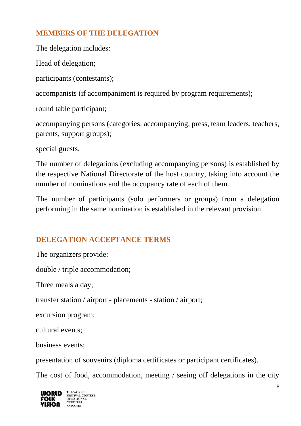# **MEMBERS OF THE DELEGATION**

The delegation includes:

Head of delegation;

participants (contestants);

accompanists (if accompaniment is required by program requirements);

round table participant;

accompanying persons (categories: accompanying, press, team leaders, teachers, parents, support groups);

special guests.

The number of delegations (excluding accompanying persons) is established by the respective National Directorate of the host country, taking into account the number of nominations and the occupancy rate of each of them.

The number of participants (solo performers or groups) from a delegation performing in the same nomination is established in the relevant provision.

### **DELEGATION ACCEPTANCE TERMS**

The organizers provide:

double / triple accommodation;

Three meals a day;

transfer station / airport - placements - station / airport;

excursion program;

cultural events;

business events;

presentation of souvenirs (diploma certificates or participant certificates).

The cost of food, accommodation, meeting / seeing off delegations in the city

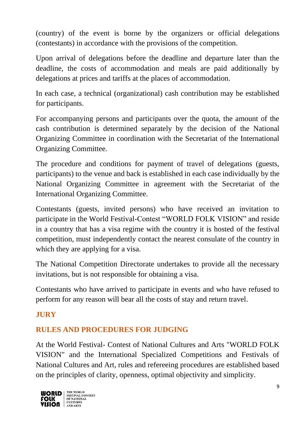(country) of the event is borne by the organizers or official delegations (contestants) in accordance with the provisions of the competition.

Upon arrival of delegations before the deadline and departure later than the deadline, the costs of accommodation and meals are paid additionally by delegations at prices and tariffs at the places of accommodation.

In each case, a technical (organizational) cash contribution may be established for participants.

For accompanying persons and participants over the quota, the amount of the cash contribution is determined separately by the decision of the National Organizing Committee in coordination with the Secretariat of the International Organizing Committee.

The procedure and conditions for payment of travel of delegations (guests, participants) to the venue and back is established in each case individually by the National Organizing Committee in agreement with the Secretariat of the International Organizing Committee.

Contestants (guests, invited persons) who have received an invitation to participate in the World Festival-Contest "WORLD FOLK VISION" and reside in a country that has a visa regime with the country it is hosted of the festival competition, must independently contact the nearest consulate of the country in which they are applying for a visa.

The National Competition Directorate undertakes to provide all the necessary invitations, but is not responsible for obtaining a visa.

Contestants who have arrived to participate in events and who have refused to perform for any reason will bear all the costs of stay and return travel.

### **JURY**

### **RULES AND PROCEDURES FOR JUDGING**

At the World Festival- Contest of National Cultures and Arts "WORLD FOLK VISION" and the International Specialized Competitions and Festivals of National Cultures and Art, rules and refereeing procedures are established based on the principles of clarity, openness, optimal objectivity and simplicity.

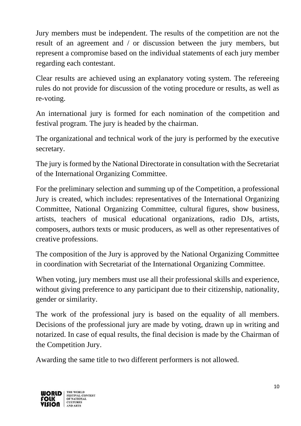Jury members must be independent. The results of the competition are not the result of an agreement and / or discussion between the jury members, but represent a compromise based on the individual statements of each jury member regarding each contestant.

Clear results are achieved using an explanatory voting system. The refereeing rules do not provide for discussion of the voting procedure or results, as well as re-voting.

An international jury is formed for each nomination of the competition and festival program. The jury is headed by the chairman.

The organizational and technical work of the jury is performed by the executive secretary.

The jury is formed by the National Directorate in consultation with the Secretariat of the International Organizing Committee.

For the preliminary selection and summing up of the Competition, a professional Jury is created, which includes: representatives of the International Organizing Committee, National Organizing Committee, cultural figures, show business, artists, teachers of musical educational organizations, radio DJs, artists, composers, authors texts or music producers, as well as other representatives of creative professions.

The composition of the Jury is approved by the National Organizing Committee in coordination with Secretariat of the International Organizing Committee.

When voting, jury members must use all their professional skills and experience, without giving preference to any participant due to their citizenship, nationality, gender or similarity.

The work of the professional jury is based on the equality of all members. Decisions of the professional jury are made by voting, drawn up in writing and notarized. In case of equal results, the final decision is made by the Chairman of the Competition Jury.

Awarding the same title to two different performers is not allowed.

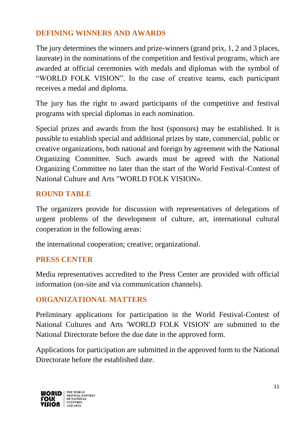### **DEFINING WINNERS AND AWARDS**

The jury determines the winners and prize-winners (grand prix, 1, 2 and 3 places, laureate) in the nominations of the competition and festival programs, which are awarded at official ceremonies with medals and diplomas with the symbol of "WORLD FOLK VISION". In the case of creative teams, each participant receives a medal and diploma.

The jury has the right to award participants of the competitive and festival programs with special diplomas in each nomination.

Special prizes and awards from the host (sponsors) may be established. It is possible to establish special and additional prizes by state, commercial, public or creative organizations, both national and foreign by agreement with the National Organizing Committee. Such awards must be agreed with the National Organizing Committee no later than the start of the World Festival-Contest of National Culture and Arts "WORLD FOLK VISION».

#### **ROUND TABLE**

The organizers provide for discussion with representatives of delegations of urgent problems of the development of culture, art, international cultural cooperation in the following areas:

the international cooperation; creative; organizational.

#### **PRESS CENTER**

Media representatives accredited to the Press Center are provided with official information (on-site and via communication channels).

#### **ORGANIZATIONAL MATTERS**

Preliminary applications for participation in the World Festival-Contest of National Cultures and Arts 'WORLD FOLK VISION' are submitted to the National Directorate before the due date in the approved form.

Applications for participation are submitted in the approved form to the National Directorate before the established date.

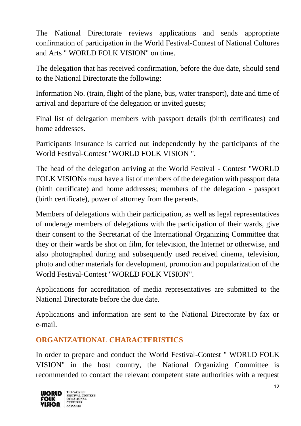The National Directorate reviews applications and sends appropriate confirmation of participation in the World Festival-Contest of National Cultures and Arts " WORLD FOLK VISION" on time.

The delegation that has received confirmation, before the due date, should send to the National Directorate the following:

Information No. (train, flight of the plane, bus, water transport), date and time of arrival and departure of the delegation or invited guests;

Final list of delegation members with passport details (birth certificates) and home addresses.

Participants insurance is carried out independently by the participants of the World Festival-Contest "WORLD FOLK VISION ".

The head of the delegation arriving at the World Festival - Contest "WORLD FOLK VISION» must have a list of members of the delegation with passport data (birth certificate) and home addresses; members of the delegation - passport (birth certificate), power of attorney from the parents.

Members of delegations with their participation, as well as legal representatives of underage members of delegations with the participation of their wards, give their consent to the Secretariat of the International Organizing Committee that they or their wards be shot on film, for television, the Internet or otherwise, and also photographed during and subsequently used received cinema, television, photo and other materials for development, promotion and popularization of the World Festival-Contest "WORLD FOLK VISION".

Applications for accreditation of media representatives are submitted to the National Directorate before the due date.

Applications and information are sent to the National Directorate by fax or e-mail.

### **ORGANIZATIONAL CHARACTERISTICS**

In order to prepare and conduct the World Festival-Contest " WORLD FOLK VISION" in the host country, the National Organizing Committee is recommended to contact the relevant competent state authorities with a request

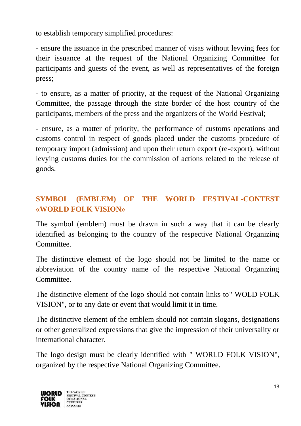to establish temporary simplified procedures:

- ensure the issuance in the prescribed manner of visas without levying fees for their issuance at the request of the National Organizing Committee for participants and guests of the event, as well as representatives of the foreign press;

- to ensure, as a matter of priority, at the request of the National Organizing Committee, the passage through the state border of the host country of the participants, members of the press and the organizers of the World Festival;

- ensure, as a matter of priority, the performance of customs operations and customs control in respect of goods placed under the customs procedure of temporary import (admission) and upon their return export (re-export), without levying customs duties for the commission of actions related to the release of goods.

# **SYMBOL (EMBLEM) OF THE WORLD FESTIVAL-CONTEST «WORLD FOLK VISION»**

The symbol (emblem) must be drawn in such a way that it can be clearly identified as belonging to the country of the respective National Organizing Committee.

The distinctive element of the logo should not be limited to the name or abbreviation of the country name of the respective National Organizing Committee.

The distinctive element of the logo should not contain links to" WOLD FOLK VISION", or to any date or event that would limit it in time.

The distinctive element of the emblem should not contain slogans, designations or other generalized expressions that give the impression of their universality or international character.

The logo design must be clearly identified with " WORLD FOLK VISION", organized by the respective National Organizing Committee.

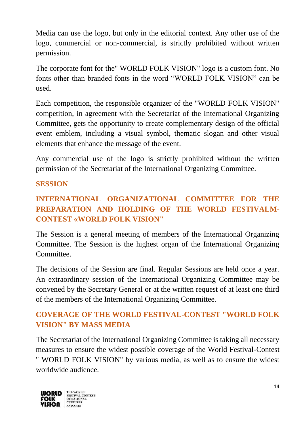Media can use the logo, but only in the editorial context. Any other use of the logo, commercial or non-commercial, is strictly prohibited without written permission.

The corporate font for the" WORLD FOLK VISION" logo is a custom font. No fonts other than branded fonts in the word "WORLD FOLK VISION" can be used.

Each competition, the responsible organizer of the "WORLD FOLK VISION" competition, in agreement with the Secretariat of the International Organizing Committee, gets the opportunity to create complementary design of the official event emblem, including a visual symbol, thematic slogan and other visual elements that enhance the message of the event.

Any commercial use of the logo is strictly prohibited without the written permission of the Secretariat of the International Organizing Committee.

#### **SESSION**

## **INTERNATIONAL ORGANIZATIONAL COMMITTEE FOR THE PREPARATION AND HOLDING OF THE WORLD FESTIVALM-CONTEST «WORLD FOLK VISION"**

The Session is a general meeting of members of the International Organizing Committee. The Session is the highest organ of the International Organizing **Committee** 

The decisions of the Session are final. Regular Sessions are held once a year. An extraordinary session of the International Organizing Committee may be convened by the Secretary General or at the written request of at least one third of the members of the International Organizing Committee.

### **COVERAGE OF THE WORLD FESTIVAL-CONTEST "WORLD FOLK VISION" BY MASS MEDIA**

The Secretariat of the International Organizing Committee is taking all necessary measures to ensure the widest possible coverage of the World Festival-Contest " WORLD FOLK VISION" by various media, as well as to ensure the widest worldwide audience.

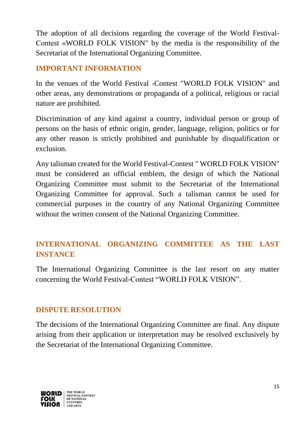The adoption of all decisions regarding the coverage of the World Festival-Contest «WORLD FOLK VISION" by the media is the responsibility of the Secretariat of the International Organizing Committee.

## **IMPORTANT INFORMATION**

In the venues of the World Festival -Contest "WORLD FOLK VISION" and other areas, any demonstrations or propaganda of a political, religious or racial nature are prohibited.

Discrimination of any kind against a country, individual person or group of persons on the basis of ethnic origin, gender, language, religion, politics or for any other reason is strictly prohibited and punishable by disqualification or exclusion.

Any talisman created for the World Festival-Contest " WORLD FOLK VISION" must be considered an official emblem, the design of which the National Organizing Committee must submit to the Secretariat of the International Organizing Committee for approval. Such a talisman cannot be used for commercial purposes in the country of any National Organizing Committee without the written consent of the National Organizing Committee.

### **INTERNATIONAL ORGANIZING COMMITTEE AS THE LAST INSTANCE**

The International Organizing Committee is the last resort on any matter concerning the World Festival-Contest "WORLD FOLK VISION".

#### **DISPUTE RESOLUTION**

The decisions of the International Organizing Committee are final. Any dispute arising from their application or interpretation may be resolved exclusively by the Secretariat of the International Organizing Committee.

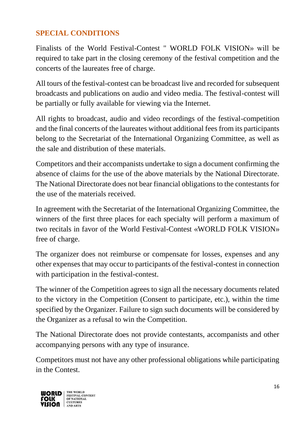### **SPECIAL CONDITIONS**

Finalists of the World Festival-Contest " WORLD FOLK VISION» will be required to take part in the closing ceremony of the festival competition and the concerts of the laureates free of charge.

All tours of the festival-contest can be broadcast live and recorded for subsequent broadcasts and publications on audio and video media. The festival-contest will be partially or fully available for viewing via the Internet.

All rights to broadcast, audio and video recordings of the festival-competition and the final concerts of the laureates without additional fees from its participants belong to the Secretariat of the International Organizing Committee, as well as the sale and distribution of these materials.

Competitors and their accompanists undertake to sign a document confirming the absence of claims for the use of the above materials by the National Directorate. The National Directorate does not bear financial obligations to the contestants for the use of the materials received.

In agreement with the Secretariat of the International Organizing Committee, the winners of the first three places for each specialty will perform a maximum of two recitals in favor of the World Festival-Contest «WORLD FOLK VISION» free of charge.

The organizer does not reimburse or compensate for losses, expenses and any other expenses that may occur to participants of the festival-contest in connection with participation in the festival-contest.

The winner of the Competition agrees to sign all the necessary documents related to the victory in the Competition (Consent to participate, etc.), within the time specified by the Organizer. Failure to sign such documents will be considered by the Organizer as a refusal to win the Competition.

The National Directorate does not provide contestants, accompanists and other accompanying persons with any type of insurance.

Competitors must not have any other professional obligations while participating in the Contest.

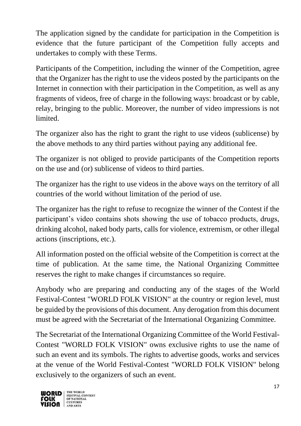The application signed by the candidate for participation in the Competition is evidence that the future participant of the Competition fully accepts and undertakes to comply with these Terms.

Participants of the Competition, including the winner of the Competition, agree that the Organizer has the right to use the videos posted by the participants on the Internet in connection with their participation in the Competition, as well as any fragments of videos, free of charge in the following ways: broadcast or by cable, relay, bringing to the public. Moreover, the number of video impressions is not limited.

The organizer also has the right to grant the right to use videos (sublicense) by the above methods to any third parties without paying any additional fee.

The organizer is not obliged to provide participants of the Competition reports on the use and (or) sublicense of videos to third parties.

The organizer has the right to use videos in the above ways on the territory of all countries of the world without limitation of the period of use.

The organizer has the right to refuse to recognize the winner of the Contest if the participant's video contains shots showing the use of tobacco products, drugs, drinking alcohol, naked body parts, calls for violence, extremism, or other illegal actions (inscriptions, etc.).

All information posted on the official website of the Competition is correct at the time of publication. At the same time, the National Organizing Committee reserves the right to make changes if circumstances so require.

Anybody who are preparing and conducting any of the stages of the World Festival-Contest "WORLD FOLK VISION" at the country or region level, must be guided by the provisions of this document. Any derogation from this document must be agreed with the Secretariat of the International Organizing Committee.

The Secretariat of the International Organizing Committee of the World Festival-Contest "WORLD FOLK VISION" owns exclusive rights to use the name of such an event and its symbols. The rights to advertise goods, works and services at the venue of the World Festival-Contest "WORLD FOLK VISION" belong exclusively to the organizers of such an event.

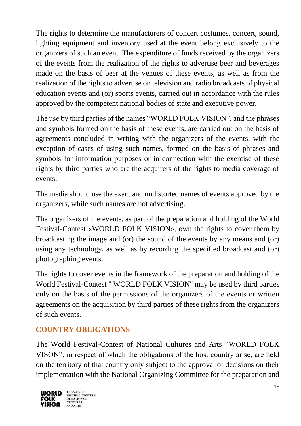The rights to determine the manufacturers of concert costumes, concert, sound, lighting equipment and inventory used at the event belong exclusively to the organizers of such an event. The expenditure of funds received by the organizers of the events from the realization of the rights to advertise beer and beverages made on the basis of beer at the venues of these events, as well as from the realization of the rights to advertise on television and radio broadcasts of physical education events and (or) sports events, carried out in accordance with the rules approved by the competent national bodies of state and executive power.

The use by third parties of the names "WORLD FOLK VISION", and the phrases and symbols formed on the basis of these events, are carried out on the basis of agreements concluded in writing with the organizers of the events, with the exception of cases of using such names, formed on the basis of phrases and symbols for information purposes or in connection with the exercise of these rights by third parties who are the acquirers of the rights to media coverage of events.

The media should use the exact and undistorted names of events approved by the organizers, while such names are not advertising.

The organizers of the events, as part of the preparation and holding of the World Festival-Contest «WORLD FOLK VISION», own the rights to cover them by broadcasting the image and (or) the sound of the events by any means and (or) using any technology, as well as by recording the specified broadcast and (or) photographing events.

The rights to cover events in the framework of the preparation and holding of the World Festival-Contest " WORLD FOLK VISION" may be used by third parties only on the basis of the permissions of the organizers of the events or written agreements on the acquisition by third parties of these rights from the organizers of such events.

### **COUNTRY OBLIGATIONS**

The World Festival-Contest of National Cultures and Arts "WORLD FOLK VISON", in respect of which the obligations of the host country arise, are held on the territory of that country only subject to the approval of decisions on their implementation with the National Organizing Committee for the preparation and

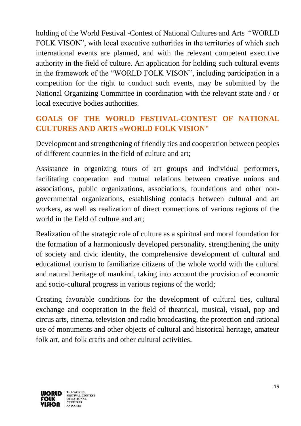holding of the World Festival -Contest of National Cultures and Arts "WORLD FOLK VISON", with local executive authorities in the territories of which such international events are planned, and with the relevant competent executive authority in the field of culture. An application for holding such cultural events in the framework of the "WORLD FOLK VISON", including participation in a competition for the right to conduct such events, may be submitted by the National Organizing Committee in coordination with the relevant state and / or local executive bodies authorities.

# **GOALS OF THE WORLD FESTIVAL-CONTEST OF NATIONAL CULTURES AND ARTS «WORLD FOLK VISION"**

Development and strengthening of friendly ties and cooperation between peoples of different countries in the field of culture and art;

Assistance in organizing tours of art groups and individual performers, facilitating cooperation and mutual relations between creative unions and associations, public organizations, associations, foundations and other nongovernmental organizations, establishing contacts between cultural and art workers, as well as realization of direct connections of various regions of the world in the field of culture and art;

Realization of the strategic role of culture as a spiritual and moral foundation for the formation of a harmoniously developed personality, strengthening the unity of society and civic identity, the comprehensive development of cultural and educational tourism to familiarize citizens of the whole world with the cultural and natural heritage of mankind, taking into account the provision of economic and socio-cultural progress in various regions of the world;

Creating favorable conditions for the development of cultural ties, cultural exchange and cooperation in the field of theatrical, musical, visual, pop and circus arts, cinema, television and radio broadcasting, the protection and rational use of monuments and other objects of cultural and historical heritage, amateur folk art, and folk crafts and other cultural activities.

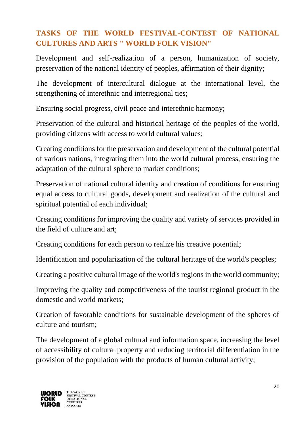## **TASKS OF THE WORLD FESTIVAL-CONTEST OF NATIONAL CULTURES AND ARTS " WORLD FOLK VISION"**

Development and self-realization of a person, humanization of society, preservation of the national identity of peoples, affirmation of their dignity;

The development of intercultural dialogue at the international level, the strengthening of interethnic and interregional ties;

Ensuring social progress, civil peace and interethnic harmony;

Preservation of the cultural and historical heritage of the peoples of the world, providing citizens with access to world cultural values;

Creating conditions for the preservation and development of the cultural potential of various nations, integrating them into the world cultural process, ensuring the adaptation of the cultural sphere to market conditions;

Preservation of national cultural identity and creation of conditions for ensuring equal access to cultural goods, development and realization of the cultural and spiritual potential of each individual;

Creating conditions for improving the quality and variety of services provided in the field of culture and art;

Creating conditions for each person to realize his creative potential;

Identification and popularization of the cultural heritage of the world's peoples;

Creating a positive cultural image of the world's regions in the world community;

Improving the quality and competitiveness of the tourist regional product in the domestic and world markets;

Creation of favorable conditions for sustainable development of the spheres of culture and tourism;

The development of a global cultural and information space, increasing the level of accessibility of cultural property and reducing territorial differentiation in the provision of the population with the products of human cultural activity;

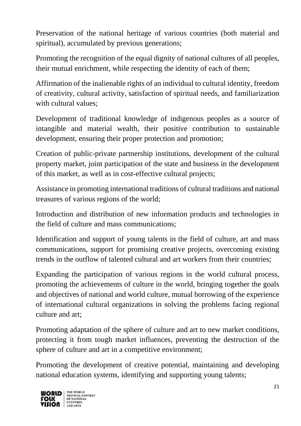Preservation of the national heritage of various countries (both material and spiritual), accumulated by previous generations;

Promoting the recognition of the equal dignity of national cultures of all peoples, their mutual enrichment, while respecting the identity of each of them;

Affirmation of the inalienable rights of an individual to cultural identity, freedom of creativity, cultural activity, satisfaction of spiritual needs, and familiarization with cultural values:

Development of traditional knowledge of indigenous peoples as a source of intangible and material wealth, their positive contribution to sustainable development, ensuring their proper protection and promotion;

Creation of public-private partnership institutions, development of the cultural property market, joint participation of the state and business in the development of this market, as well as in cost-effective cultural projects;

Assistance in promoting international traditions of cultural traditions and national treasures of various regions of the world;

Introduction and distribution of new information products and technologies in the field of culture and mass communications;

Identification and support of young talents in the field of culture, art and mass communications, support for promising creative projects, overcoming existing trends in the outflow of talented cultural and art workers from their countries;

Expanding the participation of various regions in the world cultural process, promoting the achievements of culture in the world, bringing together the goals and objectives of national and world culture, mutual borrowing of the experience of international cultural organizations in solving the problems facing regional culture and art;

Promoting adaptation of the sphere of culture and art to new market conditions, protecting it from tough market influences, preventing the destruction of the sphere of culture and art in a competitive environment;

Promoting the development of creative potential, maintaining and developing national education systems, identifying and supporting young talents;

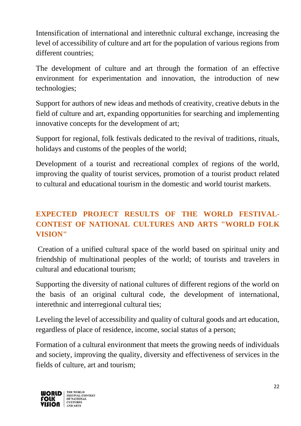Intensification of international and interethnic cultural exchange, increasing the level of accessibility of culture and art for the population of various regions from different countries;

The development of culture and art through the formation of an effective environment for experimentation and innovation, the introduction of new technologies;

Support for authors of new ideas and methods of creativity, creative debuts in the field of culture and art, expanding opportunities for searching and implementing innovative concepts for the development of art;

Support for regional, folk festivals dedicated to the revival of traditions, rituals, holidays and customs of the peoples of the world;

Development of a tourist and recreational complex of regions of the world, improving the quality of tourist services, promotion of a tourist product related to cultural and educational tourism in the domestic and world tourist markets.

# **EXPECTED PROJECT RESULTS OF THE WORLD FESTIVAL-CONTEST OF NATIONAL CULTURES AND ARTS "WORLD FOLK VISION"**

Creation of a unified cultural space of the world based on spiritual unity and friendship of multinational peoples of the world; of tourists and travelers in cultural and educational tourism;

Supporting the diversity of national cultures of different regions of the world on the basis of an original cultural code, the development of international, interethnic and interregional cultural ties;

Leveling the level of accessibility and quality of cultural goods and art education, regardless of place of residence, income, social status of a person;

Formation of a cultural environment that meets the growing needs of individuals and society, improving the quality, diversity and effectiveness of services in the fields of culture, art and tourism;

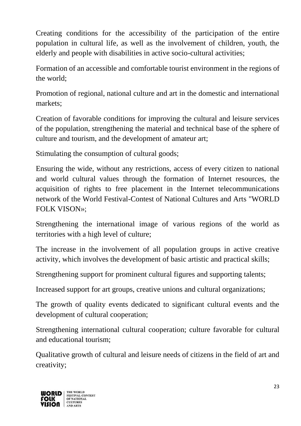Creating conditions for the accessibility of the participation of the entire population in cultural life, as well as the involvement of children, youth, the elderly and people with disabilities in active socio-cultural activities;

Formation of an accessible and comfortable tourist environment in the regions of the world;

Promotion of regional, national culture and art in the domestic and international markets;

Creation of favorable conditions for improving the cultural and leisure services of the population, strengthening the material and technical base of the sphere of culture and tourism, and the development of amateur art;

Stimulating the consumption of cultural goods;

Ensuring the wide, without any restrictions, access of every citizen to national and world cultural values through the formation of Internet resources, the acquisition of rights to free placement in the Internet telecommunications network of the World Festival-Contest of National Cultures and Arts "WORLD FOLK VISON»;

Strengthening the international image of various regions of the world as territories with a high level of culture;

The increase in the involvement of all population groups in active creative activity, which involves the development of basic artistic and practical skills;

Strengthening support for prominent cultural figures and supporting talents;

Increased support for art groups, creative unions and cultural organizations;

The growth of quality events dedicated to significant cultural events and the development of cultural cooperation;

Strengthening international cultural cooperation; culture favorable for cultural and educational tourism;

Qualitative growth of cultural and leisure needs of citizens in the field of art and creativity;

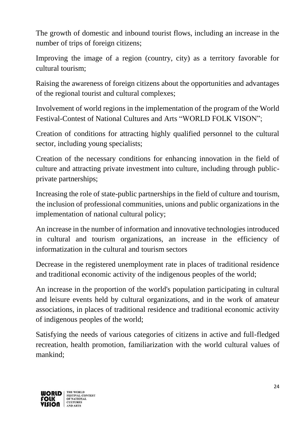The growth of domestic and inbound tourist flows, including an increase in the number of trips of foreign citizens;

Improving the image of a region (country, city) as a territory favorable for cultural tourism;

Raising the awareness of foreign citizens about the opportunities and advantages of the regional tourist and cultural complexes;

Involvement of world regions in the implementation of the program of the World Festival-Contest of National Cultures and Arts "WORLD FOLK VISON";

Creation of conditions for attracting highly qualified personnel to the cultural sector, including young specialists;

Creation of the necessary conditions for enhancing innovation in the field of culture and attracting private investment into culture, including through publicprivate partnerships;

Increasing the role of state-public partnerships in the field of culture and tourism, the inclusion of professional communities, unions and public organizations in the implementation of national cultural policy;

An increase in the number of information and innovative technologies introduced in cultural and tourism organizations, an increase in the efficiency of informatization in the cultural and tourism sectors

Decrease in the registered unemployment rate in places of traditional residence and traditional economic activity of the indigenous peoples of the world;

An increase in the proportion of the world's population participating in cultural and leisure events held by cultural organizations, and in the work of amateur associations, in places of traditional residence and traditional economic activity of indigenous peoples of the world;

Satisfying the needs of various categories of citizens in active and full-fledged recreation, health promotion, familiarization with the world cultural values of mankind;

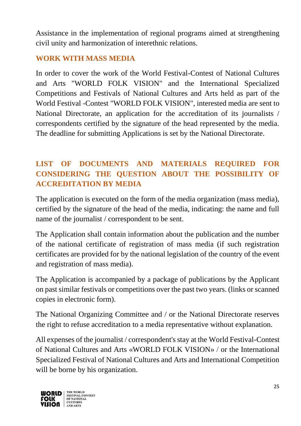Assistance in the implementation of regional programs aimed at strengthening civil unity and harmonization of interethnic relations.

### **WORK WITH MASS MEDIA**

In order to cover the work of the World Festival-Contest of National Cultures and Arts "WORLD FOLK VISION" and the International Specialized Competitions and Festivals of National Cultures and Arts held as part of the World Festival -Contest "WORLD FOLK VISION", interested media are sent to National Directorate, an application for the accreditation of its journalists / correspondents certified by the signature of the head represented by the media. The deadline for submitting Applications is set by the National Directorate.

# **LIST OF DOCUMENTS AND MATERIALS REQUIRED FOR CONSIDERING THE QUESTION ABOUT THE POSSIBILITY OF ACCREDITATION BY MEDIA**

The application is executed on the form of the media organization (mass media), certified by the signature of the head of the media, indicating: the name and full name of the journalist / correspondent to be sent.

The Application shall contain information about the publication and the number of the national certificate of registration of mass media (if such registration certificates are provided for by the national legislation of the country of the event and registration of mass media).

The Application is accompanied by a package of publications by the Applicant on past similar festivals or competitions over the past two years. (links or scanned copies in electronic form).

The National Organizing Committee and / or the National Directorate reserves the right to refuse accreditation to a media representative without explanation.

All expenses of the journalist / correspondent's stay at the World Festival-Contest of National Cultures and Arts «WORLD FOLK VISION» / or the International Specialized Festival of National Cultures and Arts and International Competition will be borne by his organization.

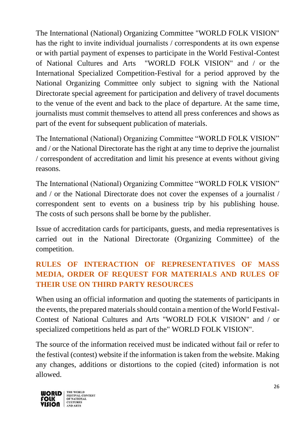The International (National) Organizing Committee "WORLD FOLK VISION" has the right to invite individual journalists / correspondents at its own expense or with partial payment of expenses to participate in the World Festival-Contest of National Cultures and Arts "WORLD FOLK VISION" and / or the International Specialized Competition-Festival for a period approved by the National Organizing Committee only subject to signing with the National Directorate special agreement for participation and delivery of travel documents to the venue of the event and back to the place of departure. At the same time, journalists must commit themselves to attend all press conferences and shows as part of the event for subsequent publication of materials.

The International (National) Organizing Committee "WORLD FOLK VISION" and / or the National Directorate has the right at any time to deprive the journalist / correspondent of accreditation and limit his presence at events without giving reasons.

The International (National) Organizing Committee "WORLD FOLK VISION" and / or the National Directorate does not cover the expenses of a journalist / correspondent sent to events on a business trip by his publishing house. The costs of such persons shall be borne by the publisher.

Issue of accreditation cards for participants, guests, and media representatives is carried out in the National Directorate (Organizing Committee) of the competition.

# **RULES OF INTERACTION OF REPRESENTATIVES OF MASS MEDIA, ORDER OF REQUEST FOR MATERIALS AND RULES OF THEIR USE ON THIRD PARTY RESOURCES**

When using an official information and quoting the statements of participants in the events, the prepared materials should contain a mention of the World Festival-Contest of National Cultures and Arts "WORLD FOLK VISION" and / or specialized competitions held as part of the" WORLD FOLK VISION".

The source of the information received must be indicated without fail or refer to the festival (contest) website if the information is taken from the website. Making any changes, additions or distortions to the copied (cited) information is not allowed.

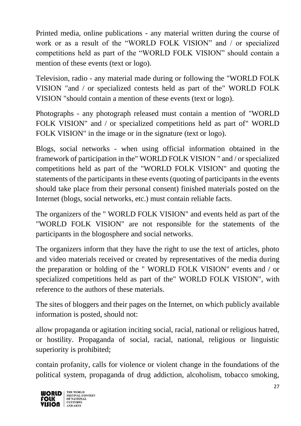Printed media, online publications - any material written during the course of work or as a result of the "WORLD FOLK VISION" and / or specialized competitions held as part of the "WORLD FOLK VISION" should contain a mention of these events (text or logo).

Television, radio - any material made during or following the "WORLD FOLK VISION "and / or specialized contests held as part of the" WORLD FOLK VISION "should contain a mention of these events (text or logo).

Photographs - any photograph released must contain a mention of "WORLD FOLK VISION" and / or specialized competitions held as part of" WORLD FOLK VISION" in the image or in the signature (text or logo).

Blogs, social networks - when using official information obtained in the framework of participation in the" WORLD FOLK VISION " and / or specialized competitions held as part of the "WORLD FOLK VISION" and quoting the statements of the participants in these events (quoting of participants in the events should take place from their personal consent) finished materials posted on the Internet (blogs, social networks, etc.) must contain reliable facts.

The organizers of the " WORLD FOLK VISION" and events held as part of the "WORLD FOLK VISION" are not responsible for the statements of the participants in the blogosphere and social networks.

The organizers inform that they have the right to use the text of articles, photo and video materials received or created by representatives of the media during the preparation or holding of the " WORLD FOLK VISION" events and / or specialized competitions held as part of the" WORLD FOLK VISION", with reference to the authors of these materials.

The sites of bloggers and their pages on the Internet, on which publicly available information is posted, should not:

allow propaganda or agitation inciting social, racial, national or religious hatred, or hostility. Propaganda of social, racial, national, religious or linguistic superiority is prohibited;

contain profanity, calls for violence or violent change in the foundations of the political system, propaganda of drug addiction, alcoholism, tobacco smoking,